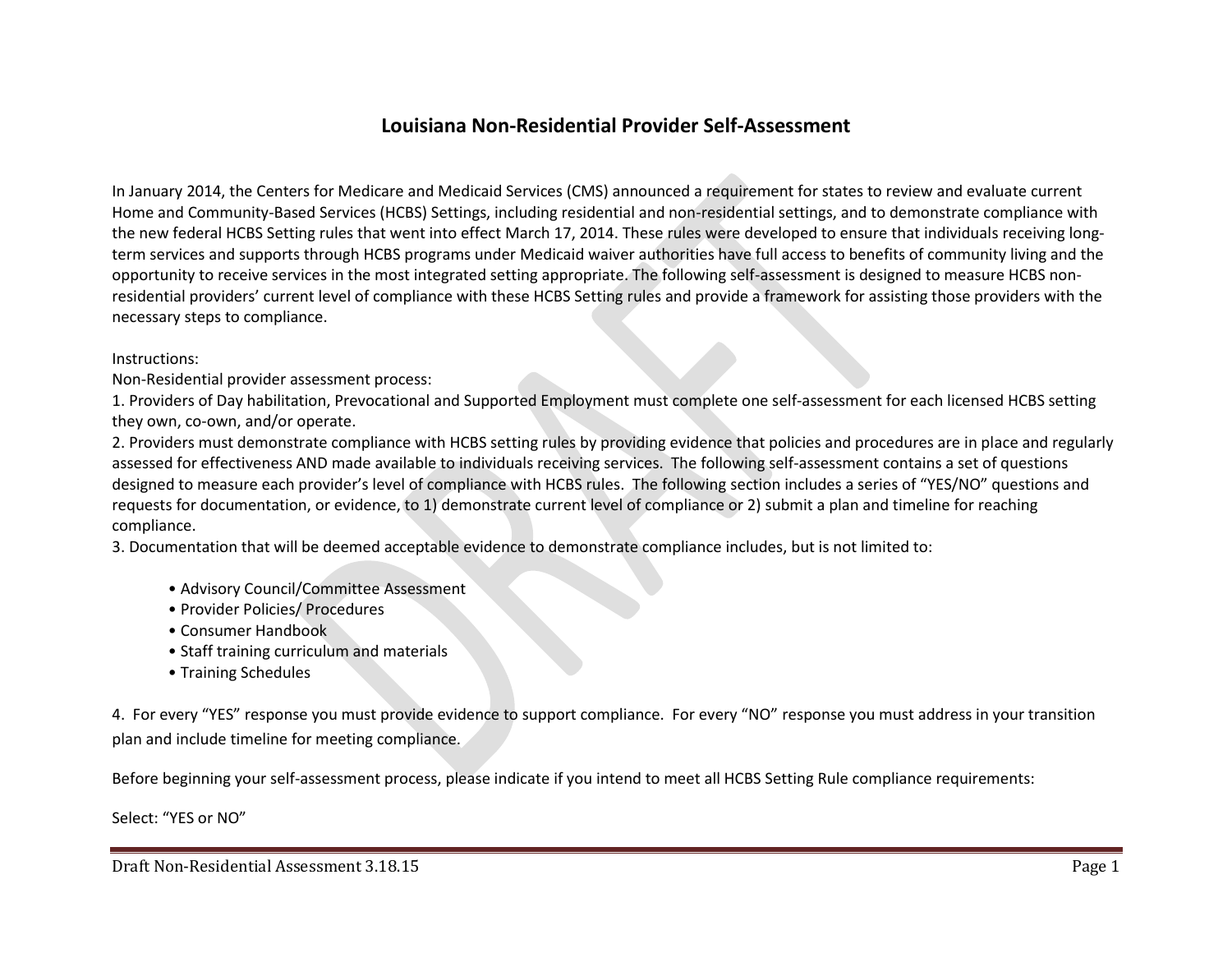## **Louisiana Non-Residential Provider Self-Assessment**

In January 2014, the Centers for Medicare and Medicaid Services (CMS) announced a requirement for states to review and evaluate current Home and Community-Based Services (HCBS) Settings, including residential and non-residential settings, and to demonstrate compliance with the new federal HCBS Setting rules that went into effect March 17, 2014. These rules were developed to ensure that individuals receiving longterm services and supports through HCBS programs under Medicaid waiver authorities have full access to benefits of community living and the opportunity to receive services in the most integrated setting appropriate. The following self-assessment is designed to measure HCBS nonresidential providers' current level of compliance with these HCBS Setting rules and provide a framework for assisting those providers with the necessary steps to compliance.

Instructions:

Non-Residential provider assessment process:

1. Providers of Day habilitation, Prevocational and Supported Employment must complete one self-assessment for each licensed HCBS setting they own, co-own, and/or operate.

2. Providers must demonstrate compliance with HCBS setting rules by providing evidence that policies and procedures are in place and regularly assessed for effectiveness AND made available to individuals receiving services. The following self-assessment contains a set of questions designed to measure each provider's level of compliance with HCBS rules. The following section includes a series of "YES/NO" questions and requests for documentation, or evidence, to 1) demonstrate current level of compliance or 2) submit a plan and timeline for reaching compliance.

3. Documentation that will be deemed acceptable evidence to demonstrate compliance includes, but is not limited to:

- Advisory Council/Committee Assessment
- Provider Policies/ Procedures
- Consumer Handbook
- Staff training curriculum and materials
- Training Schedules

4. For every "YES" response you must provide evidence to support compliance. For every "NO" response you must address in your transition plan and include timeline for meeting compliance.

Before beginning your self-assessment process, please indicate if you intend to meet all HCBS Setting Rule compliance requirements:

Select: "YES or NO"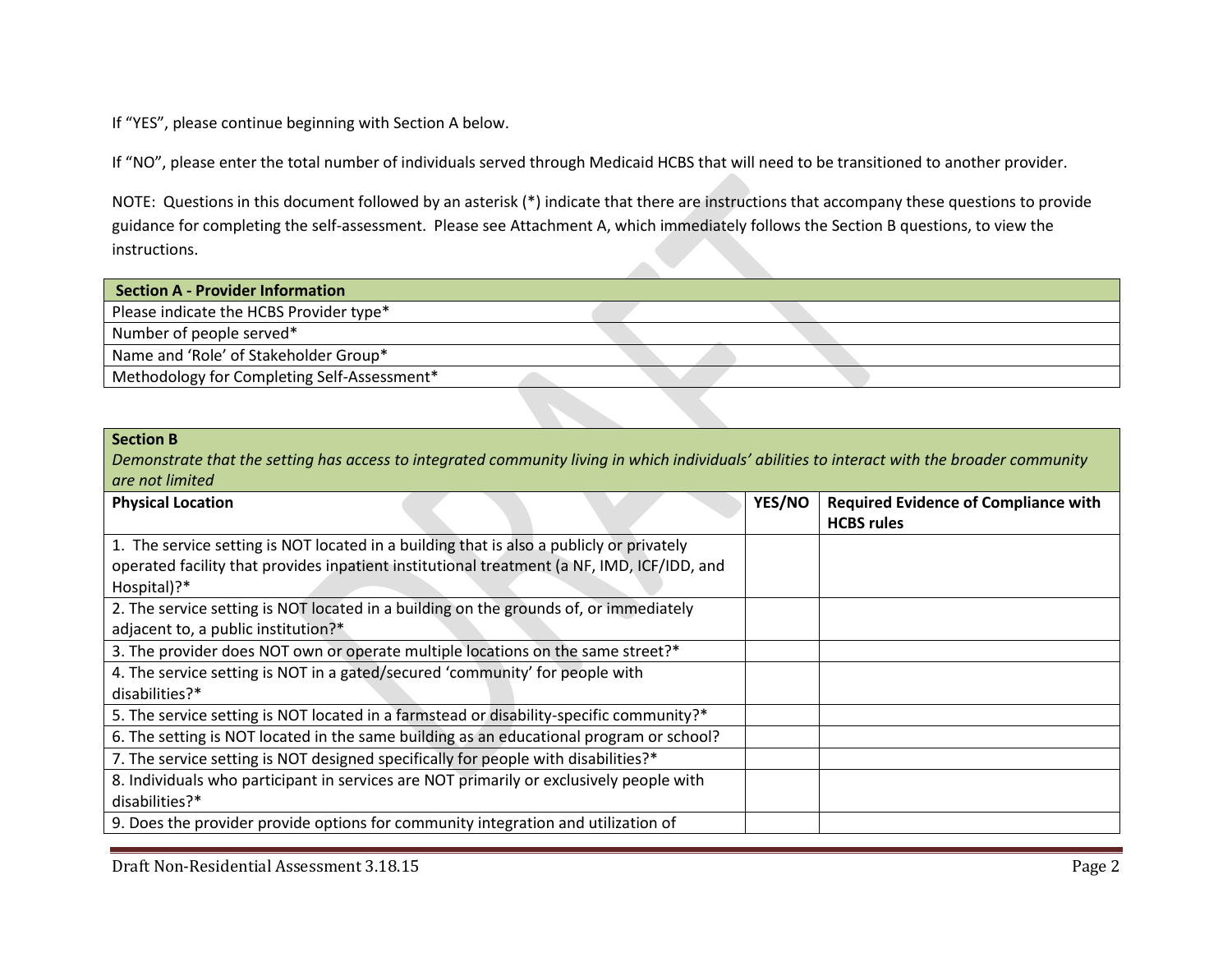If "YES", please continue beginning with Section A below.

If "NO", please enter the total number of individuals served through Medicaid HCBS that will need to be transitioned to another provider.

NOTE: Questions in this document followed by an asterisk (\*) indicate that there are instructions that accompany these questions to provide guidance for completing the self-assessment. Please see Attachment A, which immediately follows the Section B questions, to view the instructions.

| <b>Section A - Provider Information</b>     |  |  |
|---------------------------------------------|--|--|
| Please indicate the HCBS Provider type*     |  |  |
| Number of people served*                    |  |  |
| Name and 'Role' of Stakeholder Group*       |  |  |
| Methodology for Completing Self-Assessment* |  |  |

## **Section B**

*Demonstrate that the setting has access to integrated community living in which individuals' abilities to interact with the broader community are not limited* 

| <b>Physical Location</b>                                                                                                                                                               | YES/NO | <b>Required Evidence of Compliance with</b><br><b>HCBS</b> rules |
|----------------------------------------------------------------------------------------------------------------------------------------------------------------------------------------|--------|------------------------------------------------------------------|
| 1. The service setting is NOT located in a building that is also a publicly or privately<br>operated facility that provides inpatient institutional treatment (a NF, IMD, ICF/IDD, and |        |                                                                  |
| Hospital)?*                                                                                                                                                                            |        |                                                                  |
| 2. The service setting is NOT located in a building on the grounds of, or immediately                                                                                                  |        |                                                                  |
| adjacent to, a public institution?*                                                                                                                                                    |        |                                                                  |
| 3. The provider does NOT own or operate multiple locations on the same street?*                                                                                                        |        |                                                                  |
| 4. The service setting is NOT in a gated/secured 'community' for people with                                                                                                           |        |                                                                  |
| disabilities?*                                                                                                                                                                         |        |                                                                  |
| 5. The service setting is NOT located in a farmstead or disability-specific community?*                                                                                                |        |                                                                  |
| 6. The setting is NOT located in the same building as an educational program or school?                                                                                                |        |                                                                  |
| 7. The service setting is NOT designed specifically for people with disabilities?*                                                                                                     |        |                                                                  |
| 8. Individuals who participant in services are NOT primarily or exclusively people with                                                                                                |        |                                                                  |
| disabilities?*                                                                                                                                                                         |        |                                                                  |
| 9. Does the provider provide options for community integration and utilization of                                                                                                      |        |                                                                  |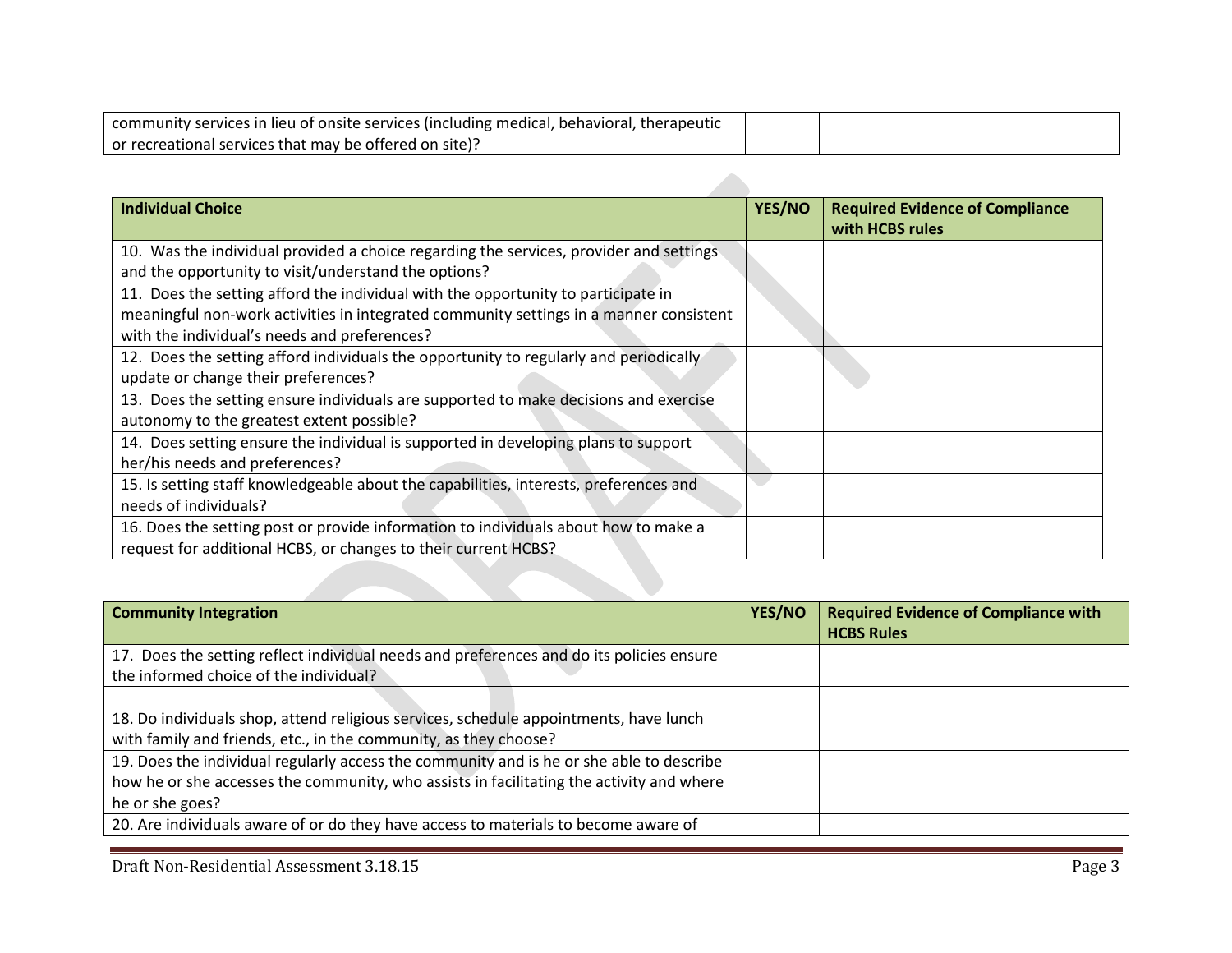| community services in lieu of onsite services (including medical, behavioral, therapeutic |  |
|-------------------------------------------------------------------------------------------|--|
| or recreational services that may be offered on site)?                                    |  |

 $\mathcal{L}$ 

| <b>Individual Choice</b>                                                                                                                              | <b>YES/NO</b> | <b>Required Evidence of Compliance</b><br>with HCBS rules |
|-------------------------------------------------------------------------------------------------------------------------------------------------------|---------------|-----------------------------------------------------------|
| 10. Was the individual provided a choice regarding the services, provider and settings                                                                |               |                                                           |
| and the opportunity to visit/understand the options?<br>11. Does the setting afford the individual with the opportunity to participate in             |               |                                                           |
| meaningful non-work activities in integrated community settings in a manner consistent<br>with the individual's needs and preferences?                |               |                                                           |
| 12. Does the setting afford individuals the opportunity to regularly and periodically<br>update or change their preferences?                          |               |                                                           |
| 13. Does the setting ensure individuals are supported to make decisions and exercise<br>autonomy to the greatest extent possible?                     |               |                                                           |
| 14. Does setting ensure the individual is supported in developing plans to support<br>her/his needs and preferences?                                  |               |                                                           |
| 15. Is setting staff knowledgeable about the capabilities, interests, preferences and<br>needs of individuals?                                        |               |                                                           |
| 16. Does the setting post or provide information to individuals about how to make a<br>request for additional HCBS, or changes to their current HCBS? |               |                                                           |
|                                                                                                                                                       |               |                                                           |

| <b>Community Integration</b>                                                                                                                                                                            | YES/NO | <b>Required Evidence of Compliance with</b><br><b>HCBS Rules</b> |
|---------------------------------------------------------------------------------------------------------------------------------------------------------------------------------------------------------|--------|------------------------------------------------------------------|
| 17. Does the setting reflect individual needs and preferences and do its policies ensure<br>the informed choice of the individual?                                                                      |        |                                                                  |
| 18. Do individuals shop, attend religious services, schedule appointments, have lunch<br>with family and friends, etc., in the community, as they choose?                                               |        |                                                                  |
| 19. Does the individual regularly access the community and is he or she able to describe<br>how he or she accesses the community, who assists in facilitating the activity and where<br>he or she goes? |        |                                                                  |
| 20. Are individuals aware of or do they have access to materials to become aware of                                                                                                                     |        |                                                                  |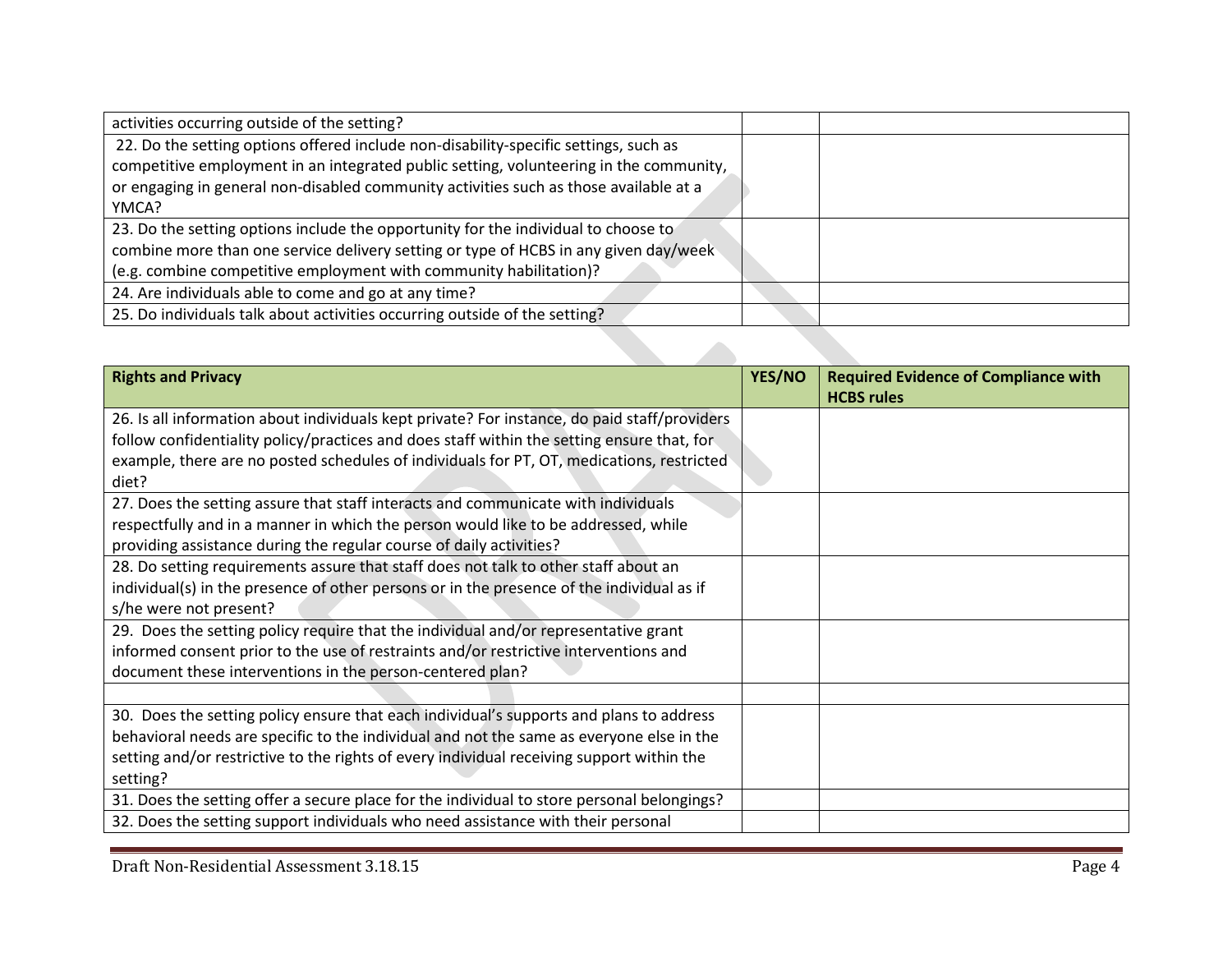| activities occurring outside of the setting?                                           |  |
|----------------------------------------------------------------------------------------|--|
| 22. Do the setting options offered include non-disability-specific settings, such as   |  |
| competitive employment in an integrated public setting, volunteering in the community, |  |
| or engaging in general non-disabled community activities such as those available at a  |  |
| YMCA?                                                                                  |  |
| 23. Do the setting options include the opportunity for the individual to choose to     |  |
| combine more than one service delivery setting or type of HCBS in any given day/week   |  |
| (e.g. combine competitive employment with community habilitation)?                     |  |
| 24. Are individuals able to come and go at any time?                                   |  |
| 25. Do individuals talk about activities occurring outside of the setting?             |  |
|                                                                                        |  |
|                                                                                        |  |

| <b>Rights and Privacy</b>                                                                    | YES/NO | <b>Required Evidence of Compliance with</b><br><b>HCBS</b> rules |
|----------------------------------------------------------------------------------------------|--------|------------------------------------------------------------------|
| 26. Is all information about individuals kept private? For instance, do paid staff/providers |        |                                                                  |
| follow confidentiality policy/practices and does staff within the setting ensure that, for   |        |                                                                  |
| example, there are no posted schedules of individuals for PT, OT, medications, restricted    |        |                                                                  |
| diet?                                                                                        |        |                                                                  |
| 27. Does the setting assure that staff interacts and communicate with individuals            |        |                                                                  |
| respectfully and in a manner in which the person would like to be addressed, while           |        |                                                                  |
| providing assistance during the regular course of daily activities?                          |        |                                                                  |
| 28. Do setting requirements assure that staff does not talk to other staff about an          |        |                                                                  |
| individual(s) in the presence of other persons or in the presence of the individual as if    |        |                                                                  |
| s/he were not present?                                                                       |        |                                                                  |
| 29. Does the setting policy require that the individual and/or representative grant          |        |                                                                  |
| informed consent prior to the use of restraints and/or restrictive interventions and         |        |                                                                  |
| document these interventions in the person-centered plan?                                    |        |                                                                  |
|                                                                                              |        |                                                                  |
| 30. Does the setting policy ensure that each individual's supports and plans to address      |        |                                                                  |
| behavioral needs are specific to the individual and not the same as everyone else in the     |        |                                                                  |
| setting and/or restrictive to the rights of every individual receiving support within the    |        |                                                                  |
| setting?                                                                                     |        |                                                                  |
| 31. Does the setting offer a secure place for the individual to store personal belongings?   |        |                                                                  |
| 32. Does the setting support individuals who need assistance with their personal             |        |                                                                  |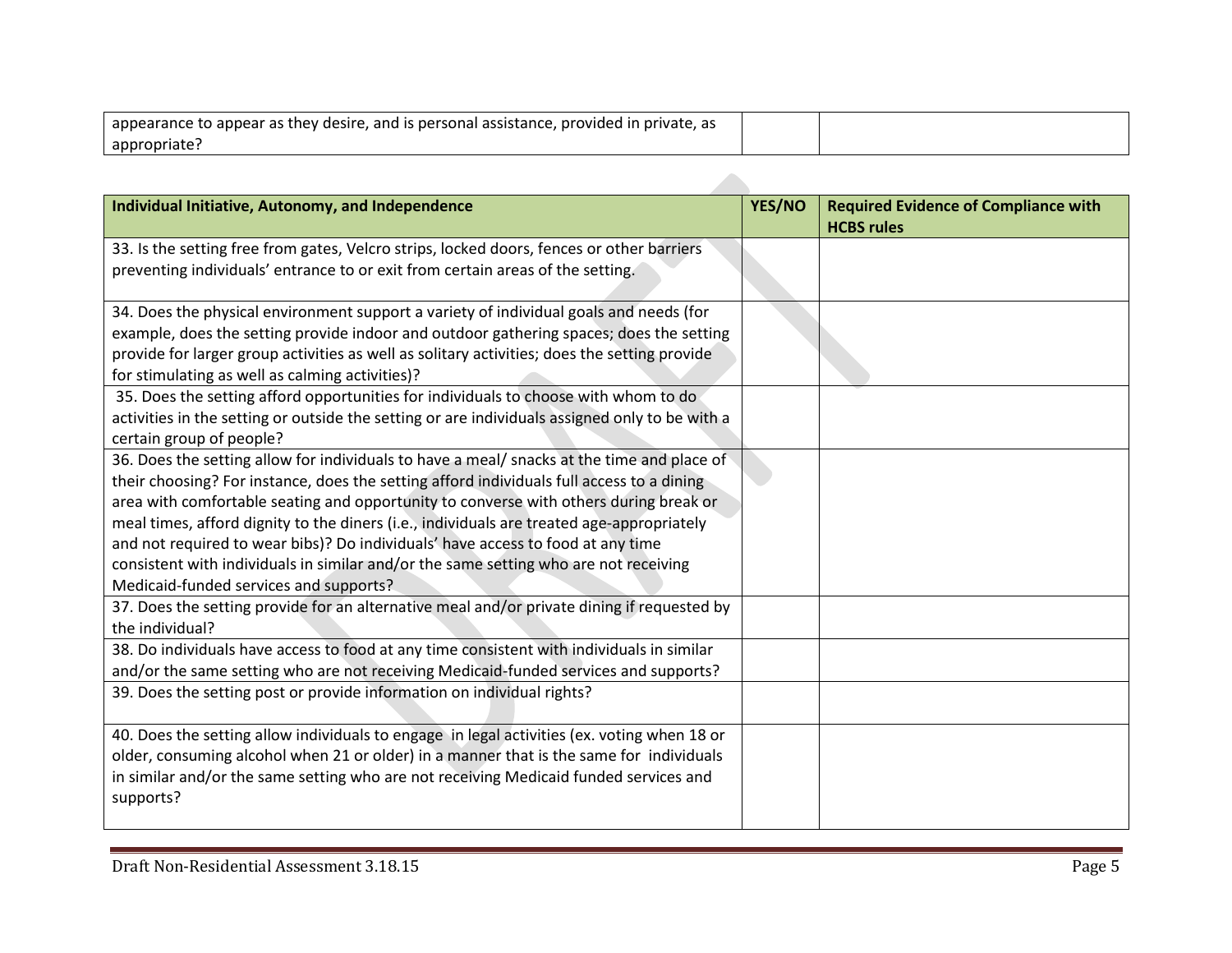| appearance to appear as they desire, and is personal assistance, provided in private, as |  |
|------------------------------------------------------------------------------------------|--|
| appropriate?                                                                             |  |

| Individual Initiative, Autonomy, and Independence                                              | YES/NO | <b>Required Evidence of Compliance with</b><br><b>HCBS rules</b> |
|------------------------------------------------------------------------------------------------|--------|------------------------------------------------------------------|
| 33. Is the setting free from gates, Velcro strips, locked doors, fences or other barriers      |        |                                                                  |
| preventing individuals' entrance to or exit from certain areas of the setting.                 |        |                                                                  |
| 34. Does the physical environment support a variety of individual goals and needs (for         |        |                                                                  |
| example, does the setting provide indoor and outdoor gathering spaces; does the setting        |        |                                                                  |
| provide for larger group activities as well as solitary activities; does the setting provide   |        |                                                                  |
| for stimulating as well as calming activities)?                                                |        |                                                                  |
| 35. Does the setting afford opportunities for individuals to choose with whom to do            |        |                                                                  |
| activities in the setting or outside the setting or are individuals assigned only to be with a |        |                                                                  |
| certain group of people?                                                                       |        |                                                                  |
| 36. Does the setting allow for individuals to have a meal/ snacks at the time and place of     |        |                                                                  |
| their choosing? For instance, does the setting afford individuals full access to a dining      |        |                                                                  |
| area with comfortable seating and opportunity to converse with others during break or          |        |                                                                  |
| meal times, afford dignity to the diners (i.e., individuals are treated age-appropriately      |        |                                                                  |
| and not required to wear bibs)? Do individuals' have access to food at any time                |        |                                                                  |
| consistent with individuals in similar and/or the same setting who are not receiving           |        |                                                                  |
| Medicaid-funded services and supports?                                                         |        |                                                                  |
| 37. Does the setting provide for an alternative meal and/or private dining if requested by     |        |                                                                  |
| the individual?                                                                                |        |                                                                  |
| 38. Do individuals have access to food at any time consistent with individuals in similar      |        |                                                                  |
| and/or the same setting who are not receiving Medicaid-funded services and supports?           |        |                                                                  |
| 39. Does the setting post or provide information on individual rights?                         |        |                                                                  |
|                                                                                                |        |                                                                  |
| 40. Does the setting allow individuals to engage in legal activities (ex. voting when 18 or    |        |                                                                  |
| older, consuming alcohol when 21 or older) in a manner that is the same for individuals        |        |                                                                  |
| in similar and/or the same setting who are not receiving Medicaid funded services and          |        |                                                                  |
| supports?                                                                                      |        |                                                                  |
|                                                                                                |        |                                                                  |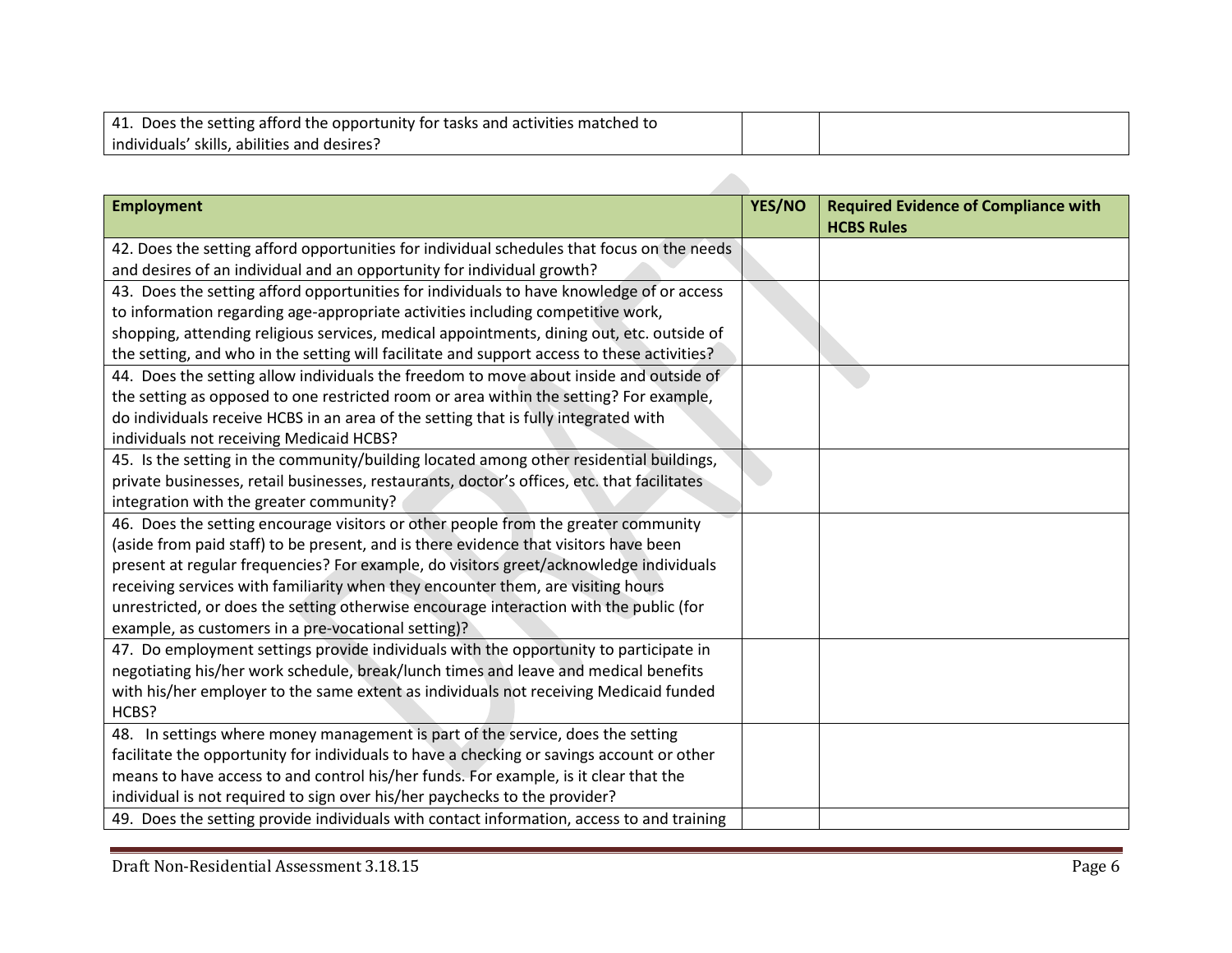| 41. Does the setting afford the opportunity for tasks and activities matched to |  |
|---------------------------------------------------------------------------------|--|
| individuals' skills, abilities and desires?                                     |  |

| <b>Employment</b>                                                                           | YES/NO | <b>Required Evidence of Compliance with</b><br><b>HCBS Rules</b> |
|---------------------------------------------------------------------------------------------|--------|------------------------------------------------------------------|
| 42. Does the setting afford opportunities for individual schedules that focus on the needs  |        |                                                                  |
| and desires of an individual and an opportunity for individual growth?                      |        |                                                                  |
| 43. Does the setting afford opportunities for individuals to have knowledge of or access    |        |                                                                  |
| to information regarding age-appropriate activities including competitive work,             |        |                                                                  |
| shopping, attending religious services, medical appointments, dining out, etc. outside of   |        |                                                                  |
| the setting, and who in the setting will facilitate and support access to these activities? |        |                                                                  |
| 44. Does the setting allow individuals the freedom to move about inside and outside of      |        |                                                                  |
| the setting as opposed to one restricted room or area within the setting? For example,      |        |                                                                  |
| do individuals receive HCBS in an area of the setting that is fully integrated with         |        |                                                                  |
| individuals not receiving Medicaid HCBS?                                                    |        |                                                                  |
| 45. Is the setting in the community/building located among other residential buildings,     |        |                                                                  |
| private businesses, retail businesses, restaurants, doctor's offices, etc. that facilitates |        |                                                                  |
| integration with the greater community?                                                     |        |                                                                  |
| 46. Does the setting encourage visitors or other people from the greater community          |        |                                                                  |
| (aside from paid staff) to be present, and is there evidence that visitors have been        |        |                                                                  |
| present at regular frequencies? For example, do visitors greet/acknowledge individuals      |        |                                                                  |
| receiving services with familiarity when they encounter them, are visiting hours            |        |                                                                  |
| unrestricted, or does the setting otherwise encourage interaction with the public (for      |        |                                                                  |
| example, as customers in a pre-vocational setting)?                                         |        |                                                                  |
| 47. Do employment settings provide individuals with the opportunity to participate in       |        |                                                                  |
| negotiating his/her work schedule, break/lunch times and leave and medical benefits         |        |                                                                  |
| with his/her employer to the same extent as individuals not receiving Medicaid funded       |        |                                                                  |
| HCBS?                                                                                       |        |                                                                  |
| 48. In settings where money management is part of the service, does the setting             |        |                                                                  |
| facilitate the opportunity for individuals to have a checking or savings account or other   |        |                                                                  |
| means to have access to and control his/her funds. For example, is it clear that the        |        |                                                                  |
| individual is not required to sign over his/her paychecks to the provider?                  |        |                                                                  |
| 49. Does the setting provide individuals with contact information, access to and training   |        |                                                                  |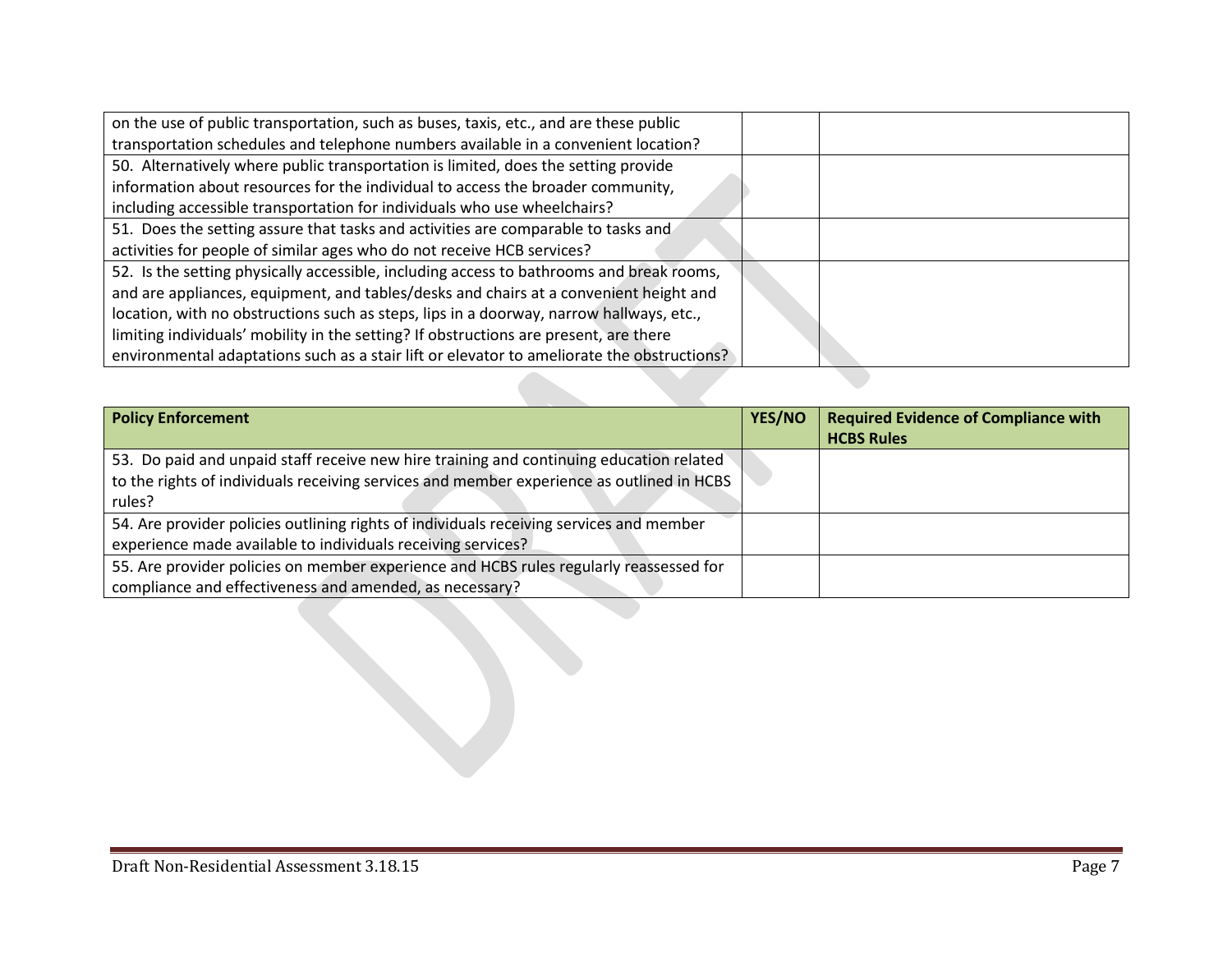| on the use of public transportation, such as buses, taxis, etc., and are these public      |  |
|--------------------------------------------------------------------------------------------|--|
| transportation schedules and telephone numbers available in a convenient location?         |  |
| 50. Alternatively where public transportation is limited, does the setting provide         |  |
| information about resources for the individual to access the broader community,            |  |
| including accessible transportation for individuals who use wheelchairs?                   |  |
| 51. Does the setting assure that tasks and activities are comparable to tasks and          |  |
| activities for people of similar ages who do not receive HCB services?                     |  |
| 52. Is the setting physically accessible, including access to bathrooms and break rooms,   |  |
| and are appliances, equipment, and tables/desks and chairs at a convenient height and      |  |
| location, with no obstructions such as steps, lips in a doorway, narrow hallways, etc.,    |  |
| limiting individuals' mobility in the setting? If obstructions are present, are there      |  |
| environmental adaptations such as a stair lift or elevator to ameliorate the obstructions? |  |

| <b>Policy Enforcement</b>                                                                 | YES/NO | <b>Required Evidence of Compliance with</b><br><b>HCBS Rules</b> |
|-------------------------------------------------------------------------------------------|--------|------------------------------------------------------------------|
| 53. Do paid and unpaid staff receive new hire training and continuing education related   |        |                                                                  |
| to the rights of individuals receiving services and member experience as outlined in HCBS |        |                                                                  |
| rules?                                                                                    |        |                                                                  |
| 54. Are provider policies outlining rights of individuals receiving services and member   |        |                                                                  |
| experience made available to individuals receiving services?                              |        |                                                                  |
| 55. Are provider policies on member experience and HCBS rules regularly reassessed for    |        |                                                                  |
| compliance and effectiveness and amended, as necessary?                                   |        |                                                                  |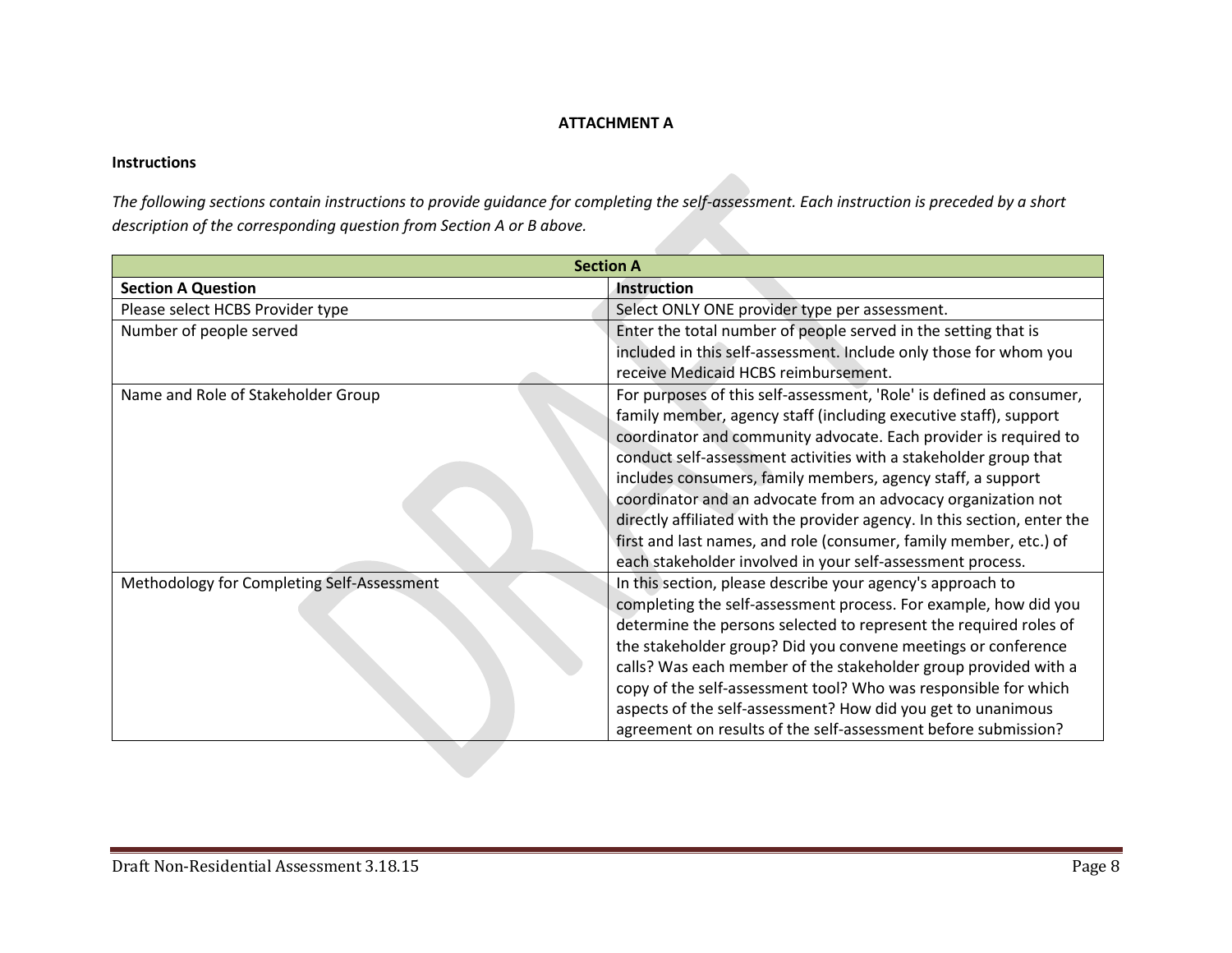## **ATTACHMENT A**

## **Instructions**

*The following sections contain instructions to provide guidance for completing the self-assessment. Each instruction is preceded by a short description of the corresponding question from Section A or B above.* 

| <b>Section A</b>                           |                                                                          |  |  |
|--------------------------------------------|--------------------------------------------------------------------------|--|--|
| <b>Section A Question</b>                  | Instruction                                                              |  |  |
| Please select HCBS Provider type           | Select ONLY ONE provider type per assessment.                            |  |  |
| Number of people served                    | Enter the total number of people served in the setting that is           |  |  |
|                                            | included in this self-assessment. Include only those for whom you        |  |  |
|                                            | receive Medicaid HCBS reimbursement.                                     |  |  |
| Name and Role of Stakeholder Group         | For purposes of this self-assessment, 'Role' is defined as consumer,     |  |  |
|                                            | family member, agency staff (including executive staff), support         |  |  |
|                                            | coordinator and community advocate. Each provider is required to         |  |  |
|                                            | conduct self-assessment activities with a stakeholder group that         |  |  |
|                                            | includes consumers, family members, agency staff, a support              |  |  |
|                                            | coordinator and an advocate from an advocacy organization not            |  |  |
|                                            | directly affiliated with the provider agency. In this section, enter the |  |  |
|                                            | first and last names, and role (consumer, family member, etc.) of        |  |  |
|                                            | each stakeholder involved in your self-assessment process.               |  |  |
| Methodology for Completing Self-Assessment | In this section, please describe your agency's approach to               |  |  |
|                                            | completing the self-assessment process. For example, how did you         |  |  |
|                                            | determine the persons selected to represent the required roles of        |  |  |
|                                            | the stakeholder group? Did you convene meetings or conference            |  |  |
|                                            | calls? Was each member of the stakeholder group provided with a          |  |  |
|                                            | copy of the self-assessment tool? Who was responsible for which          |  |  |
|                                            | aspects of the self-assessment? How did you get to unanimous             |  |  |
|                                            | agreement on results of the self-assessment before submission?           |  |  |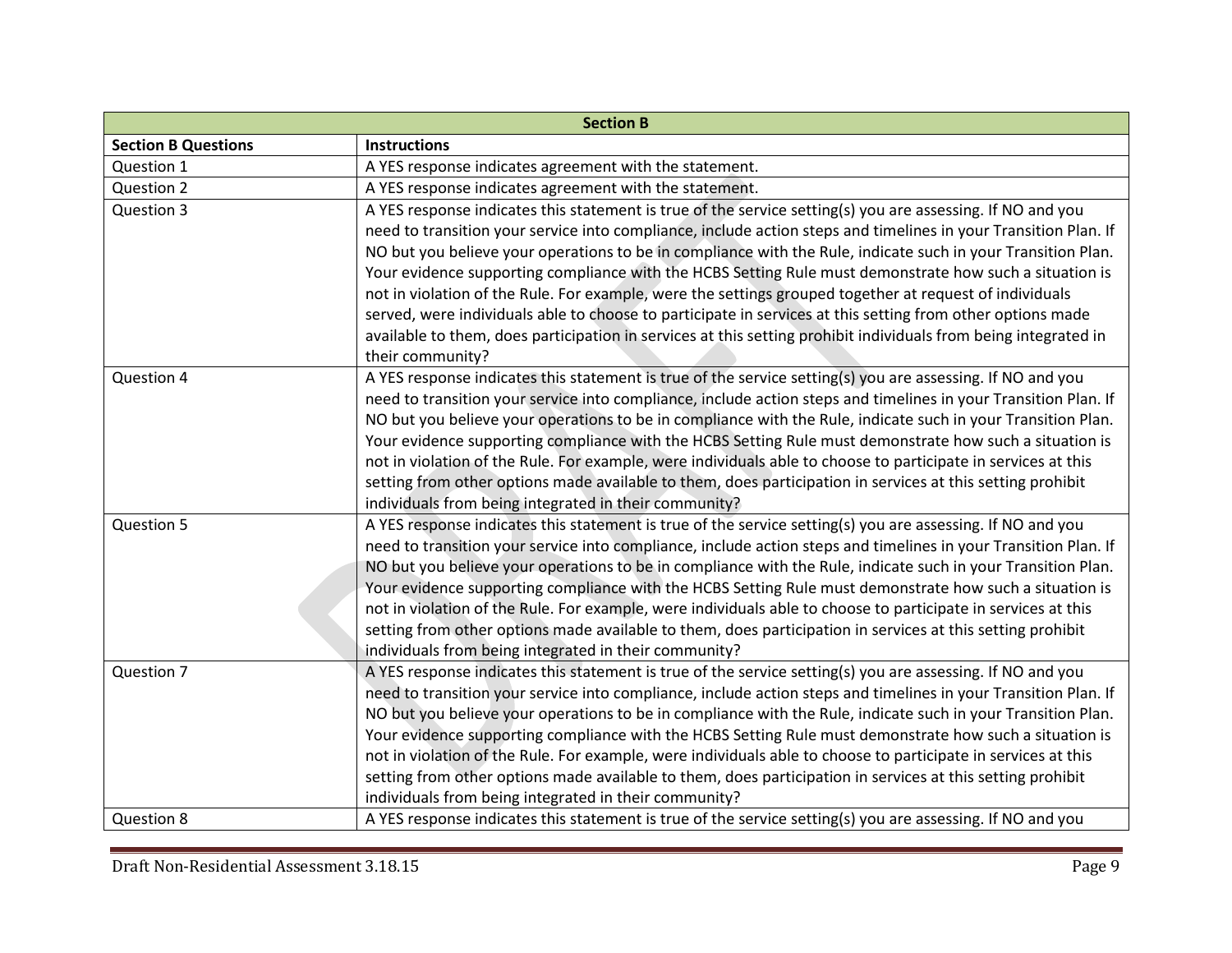| <b>Section B</b>           |                                                                                                                 |  |
|----------------------------|-----------------------------------------------------------------------------------------------------------------|--|
| <b>Section B Questions</b> | <b>Instructions</b>                                                                                             |  |
| Question 1                 | A YES response indicates agreement with the statement.                                                          |  |
| Question 2                 | A YES response indicates agreement with the statement.                                                          |  |
| Question 3                 | A YES response indicates this statement is true of the service setting(s) you are assessing. If NO and you      |  |
|                            | need to transition your service into compliance, include action steps and timelines in your Transition Plan. If |  |
|                            | NO but you believe your operations to be in compliance with the Rule, indicate such in your Transition Plan.    |  |
|                            | Your evidence supporting compliance with the HCBS Setting Rule must demonstrate how such a situation is         |  |
|                            | not in violation of the Rule. For example, were the settings grouped together at request of individuals         |  |
|                            | served, were individuals able to choose to participate in services at this setting from other options made      |  |
|                            | available to them, does participation in services at this setting prohibit individuals from being integrated in |  |
|                            | their community?                                                                                                |  |
| Question 4                 | A YES response indicates this statement is true of the service setting(s) you are assessing. If NO and you      |  |
|                            | need to transition your service into compliance, include action steps and timelines in your Transition Plan. If |  |
|                            | NO but you believe your operations to be in compliance with the Rule, indicate such in your Transition Plan.    |  |
|                            | Your evidence supporting compliance with the HCBS Setting Rule must demonstrate how such a situation is         |  |
|                            | not in violation of the Rule. For example, were individuals able to choose to participate in services at this   |  |
|                            | setting from other options made available to them, does participation in services at this setting prohibit      |  |
|                            | individuals from being integrated in their community?                                                           |  |
| Question 5                 | A YES response indicates this statement is true of the service setting(s) you are assessing. If NO and you      |  |
|                            | need to transition your service into compliance, include action steps and timelines in your Transition Plan. If |  |
|                            | NO but you believe your operations to be in compliance with the Rule, indicate such in your Transition Plan.    |  |
|                            | Your evidence supporting compliance with the HCBS Setting Rule must demonstrate how such a situation is         |  |
|                            | not in violation of the Rule. For example, were individuals able to choose to participate in services at this   |  |
|                            | setting from other options made available to them, does participation in services at this setting prohibit      |  |
|                            | individuals from being integrated in their community?                                                           |  |
| Question 7                 | A YES response indicates this statement is true of the service setting(s) you are assessing. If NO and you      |  |
|                            | need to transition your service into compliance, include action steps and timelines in your Transition Plan. If |  |
|                            | NO but you believe your operations to be in compliance with the Rule, indicate such in your Transition Plan.    |  |
|                            | Your evidence supporting compliance with the HCBS Setting Rule must demonstrate how such a situation is         |  |
|                            | not in violation of the Rule. For example, were individuals able to choose to participate in services at this   |  |
|                            | setting from other options made available to them, does participation in services at this setting prohibit      |  |
|                            | individuals from being integrated in their community?                                                           |  |
| Question 8                 | A YES response indicates this statement is true of the service setting(s) you are assessing. If NO and you      |  |